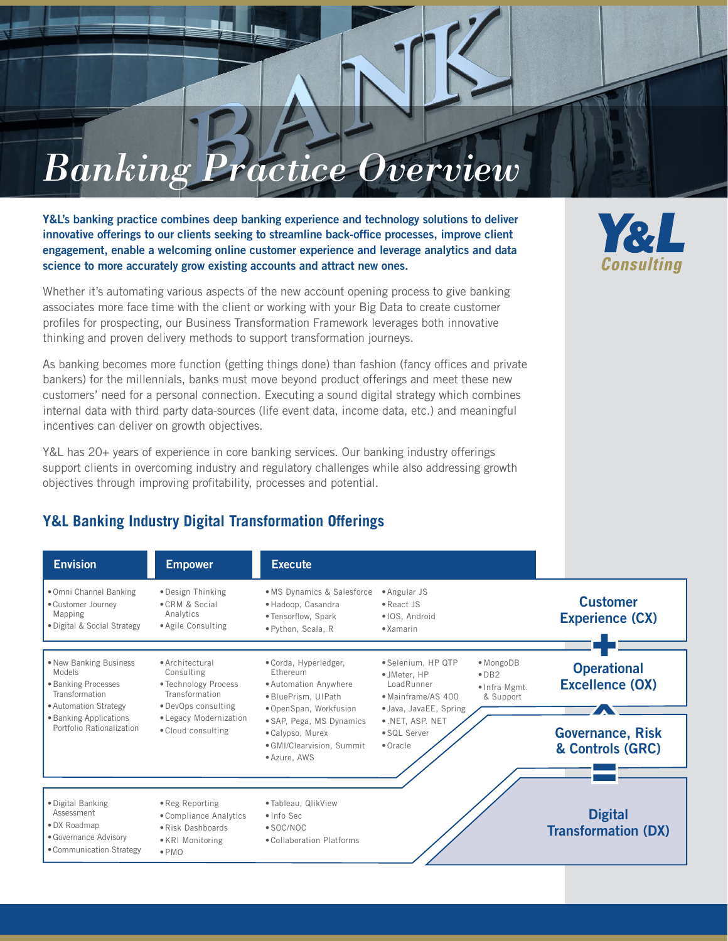# *Banking Practice Overview*

Y&L's banking practice combines deep banking experience and technology solutions to deliver innovative offerings to our clients seeking to streamline back-office processes, improve client engagement, enable a welcoming online customer experience and leverage analytics and data science to more accurately grow existing accounts and attract new ones.

Whether it's automating various aspects of the new account opening process to give banking associates more face time with the client or working with your Big Data to create customer profiles for prospecting, our Business Transformation Framework leverages both innovative thinking and proven delivery methods to support transformation journeys.

As banking becomes more function (getting things done) than fashion (fancy offices and private bankers) for the millennials, banks must move beyond product offerings and meet these new customers' need for a personal connection. Executing a sound digital strategy which combines internal data with third party data-sources (life event data, income data, etc.) and meaningful incentives can deliver on growth objectives.

Y&L has 20+ years of experience in core banking services. Our banking industry offerings support clients in overcoming industry and regulatory challenges while also addressing growth objectives through improving profitability, processes and potential.

## **Y&L Banking Industry Digital Transformation Offerings**

Envision **Empower Execute** •Omni Channel Banking •Customer Journey Mapping •Digital & Social Strategy •Design Thinking •CRM & Social Analytics •Agile Consulting • MS Dynamics & Salesforce • Angular JS •Hadoop, Casandra • Tensorflow, Spark •Python, Scala, R •React JS • IOS, Android • Xamarin •New Banking Business Models •Banking Processes **Transformation** •Automation Strategy •Banking Applications Portfolio Rationalization •Architectural Consulting • Technology Process Transformation •DevOps consulting • Legacy Modernization •Cloud consulting •Corda, Hyperledger, Ethereum •Automation Anywhere •BluePrism, UIPath •OpenSpan, Workfusion •SAP, Pega, MS Dynamics •Calypso, Murex •GMI/Clearvision, Summit •Azure, AWS •Selenium, HP QTP • JMeter, HP LoadRunner • Mainframe/AS 400 • Java, JavaEE, Spring • .NET, ASP. NET •SQL Server •Oracle • MongoDB •DB2 • Infra Mgmt. & Support •Digital Banking Assessment •DX Roadmap •Governance Advisory •Communication Strategy •Reg Reporting •Compliance Analytics •Risk Dashboards •KRI Monitoring •PMO • Tableau, QlikView • Info Sec •SOC/NOC •Collaboration Platforms Excellence (OX)<br> **Covernance, Risk** & Controls (GRC)<br>———<mark>——</mark>——— **Operational** Excellence (OX) **Customer** Experience (CX)  $+$ **Digital** Transformation (DX)